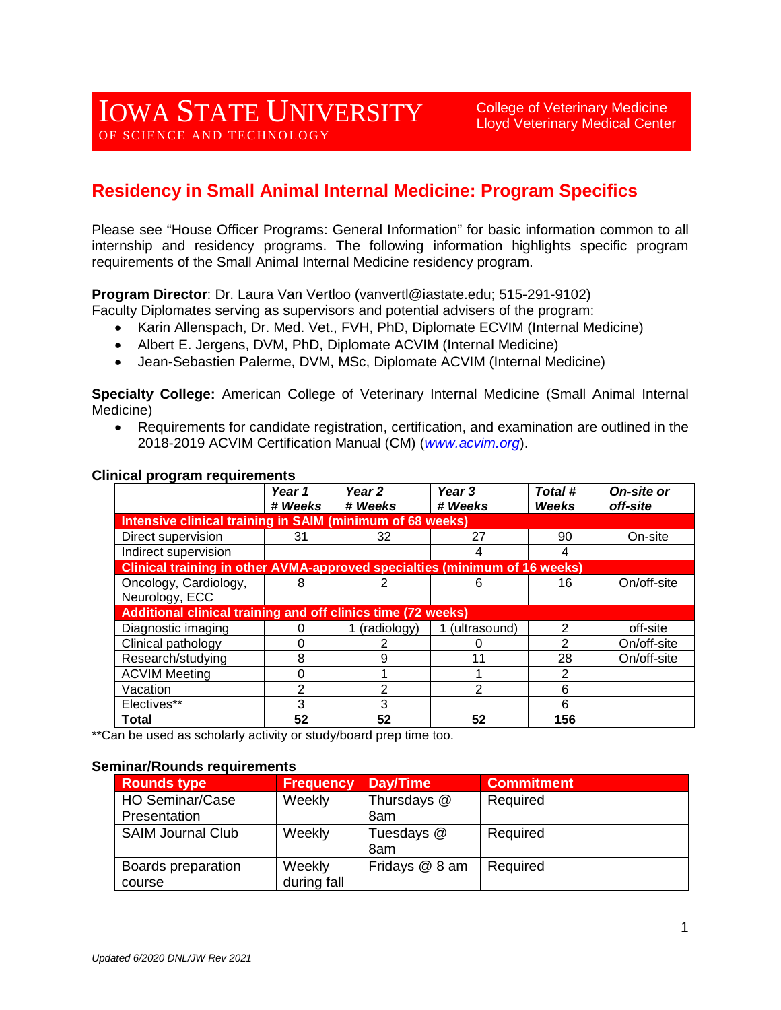College of Veterinary Medicine Lloyd Veterinary Medical Center

# **Residency in Small Animal Internal Medicine: Program Specifics**

Please see "House Officer Programs: General Information" for basic information common to all internship and residency programs. The following information highlights specific program requirements of the Small Animal Internal Medicine residency program.

**Program Director**: Dr. Laura Van Vertloo (vanvertl@iastate.edu; 515-291-9102)

- Faculty Diplomates serving as supervisors and potential advisers of the program:
	- Karin Allenspach, Dr. Med. Vet., FVH, PhD, Diplomate ECVIM (Internal Medicine)
	- Albert E. Jergens, DVM, PhD, Diplomate ACVIM (Internal Medicine)
	- Jean-Sebastien Palerme, DVM, MSc, Diplomate ACVIM (Internal Medicine)

**Specialty College:** American College of Veterinary Internal Medicine (Small Animal Internal Medicine)

• Requirements for candidate registration, certification, and examination are outlined in the 2018-2019 ACVIM Certification Manual (CM) (*[www.acvim.org](http://www.acvim.org/)*).

|                                                                            | Year 1<br># Weeks | Year 2<br># Weeks | Year 3<br># Weeks | Total #<br>Weeks | On-site or<br>off-site |  |  |
|----------------------------------------------------------------------------|-------------------|-------------------|-------------------|------------------|------------------------|--|--|
| <b>Intensive clinical training in SAIM (minimum of 68 weeks)</b>           |                   |                   |                   |                  |                        |  |  |
| Direct supervision                                                         | 31                | 32                | 27                | 90               | On-site                |  |  |
| Indirect supervision                                                       |                   |                   |                   | 4                |                        |  |  |
| Clinical training in other AVMA-approved specialties (minimum of 16 weeks) |                   |                   |                   |                  |                        |  |  |
| Oncology, Cardiology,                                                      | 8                 |                   |                   | 16               | On/off-site            |  |  |
| Neurology, ECC                                                             |                   |                   |                   |                  |                        |  |  |
| Additional clinical training and off clinics time (72 weeks)               |                   |                   |                   |                  |                        |  |  |
| Diagnostic imaging                                                         | O                 | (radiology)       | (ultrasound)      | 2                | off-site               |  |  |
| Clinical pathology                                                         | 0                 |                   |                   | $\overline{2}$   | On/off-site            |  |  |
| Research/studying                                                          | 8                 | 9                 |                   | 28               | On/off-site            |  |  |
| <b>ACVIM Meeting</b>                                                       | 0                 |                   |                   | 2                |                        |  |  |
| Vacation                                                                   | 2                 | 2                 | 2                 | 6                |                        |  |  |
| Electives**                                                                | 3                 | 3                 |                   | 6                |                        |  |  |
| Total                                                                      | 52                | 52                | 52                | 156              |                        |  |  |

#### **Clinical program requirements**

\*\*Can be used as scholarly activity or study/board prep time too.

#### **Seminar/Rounds requirements**

| <b>Rounds type</b>       | <b>Frequency</b> | Day/Time       | <b>Commitment</b> |
|--------------------------|------------------|----------------|-------------------|
| <b>HO Seminar/Case</b>   | Weekly           | Thursdays @    | Required          |
| Presentation             |                  | 8am            |                   |
| <b>SAIM Journal Club</b> | Weekly           | Tuesdays @     | Required          |
|                          |                  | 8am            |                   |
| Boards preparation       | Weekly           | Fridays @ 8 am | Required          |
| course                   | during fall      |                |                   |